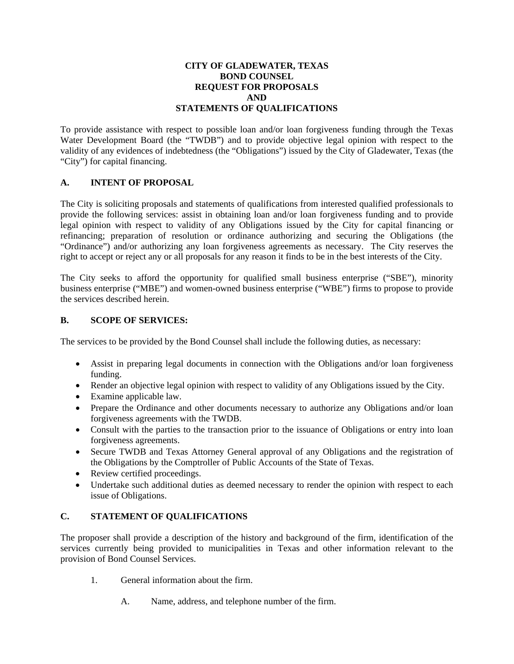### **CITY OF GLADEWATER, TEXAS BOND COUNSEL REQUEST FOR PROPOSALS AND STATEMENTS OF QUALIFICATIONS**

To provide assistance with respect to possible loan and/or loan forgiveness funding through the Texas Water Development Board (the "TWDB") and to provide objective legal opinion with respect to the validity of any evidences of indebtedness (the "Obligations") issued by the City of Gladewater, Texas (the "City") for capital financing.

# **A. INTENT OF PROPOSAL**

The City is soliciting proposals and statements of qualifications from interested qualified professionals to provide the following services: assist in obtaining loan and/or loan forgiveness funding and to provide legal opinion with respect to validity of any Obligations issued by the City for capital financing or refinancing; preparation of resolution or ordinance authorizing and securing the Obligations (the "Ordinance") and/or authorizing any loan forgiveness agreements as necessary. The City reserves the right to accept or reject any or all proposals for any reason it finds to be in the best interests of the City.

The City seeks to afford the opportunity for qualified small business enterprise ("SBE"), minority business enterprise ("MBE") and women-owned business enterprise ("WBE") firms to propose to provide the services described herein.

### **B. SCOPE OF SERVICES:**

The services to be provided by the Bond Counsel shall include the following duties, as necessary:

- Assist in preparing legal documents in connection with the Obligations and/or loan forgiveness funding.
- Render an objective legal opinion with respect to validity of any Obligations issued by the City.
- Examine applicable law.
- Prepare the Ordinance and other documents necessary to authorize any Obligations and/or loan forgiveness agreements with the TWDB.
- Consult with the parties to the transaction prior to the issuance of Obligations or entry into loan forgiveness agreements.
- Secure TWDB and Texas Attorney General approval of any Obligations and the registration of the Obligations by the Comptroller of Public Accounts of the State of Texas.
- Review certified proceedings.
- Undertake such additional duties as deemed necessary to render the opinion with respect to each issue of Obligations.

# **C. STATEMENT OF QUALIFICATIONS**

The proposer shall provide a description of the history and background of the firm, identification of the services currently being provided to municipalities in Texas and other information relevant to the provision of Bond Counsel Services.

- 1. General information about the firm.
	- A. Name, address, and telephone number of the firm.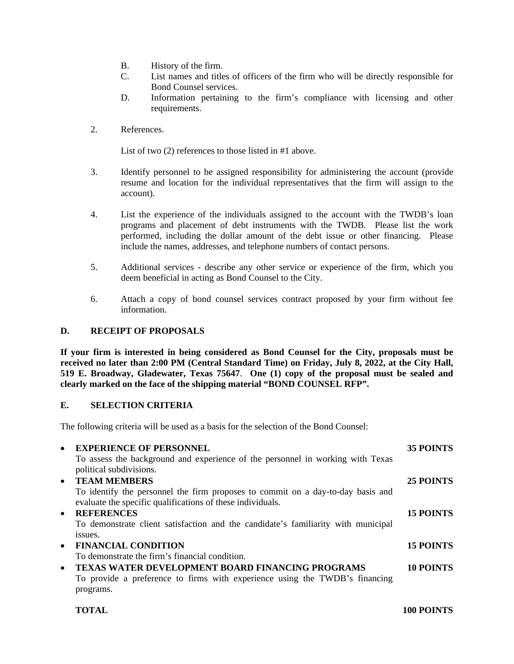- B. History of the firm.
- C. List names and titles of officers of the firm who will be directly responsible for Bond Counsel services.
- D. Information pertaining to the firm's compliance with licensing and other requirements.
- 2. References.

List of two (2) references to those listed in #1 above.

- 3. Identify personnel to be assigned responsibility for administering the account (provide resume and location for the individual representatives that the firm will assign to the account).
- 4. List the experience of the individuals assigned to the account with the TWDB's loan programs and placement of debt instruments with the TWDB. Please list the work performed, including the dollar amount of the debt issue or other financing. Please include the names, addresses, and telephone numbers of contact persons.
- 5. Additional services describe any other service or experience of the firm, which you deem beneficial in acting as Bond Counsel to the City.
- 6. Attach a copy of bond counsel services contract proposed by your firm without fee information.

### **D. RECEIPT OF PROPOSALS**

**If your firm is interested in being considered as Bond Counsel for the City, proposals must be received no later than 2:00 PM (Central Standard Time) on Friday, July 8, 2022, at the City Hall, 519 E. Broadway, Gladewater, Texas 75647**. **One (1) copy of the proposal must be sealed and clearly marked on the face of the shipping material "BOND COUNSEL RFP".**

### **E. SELECTION CRITERIA**

The following criteria will be used as a basis for the selection of the Bond Counsel:

| $\bullet$ | <b>EXPERIENCE OF PERSONNEL</b>                                                    | <b>35 POINTS</b> |
|-----------|-----------------------------------------------------------------------------------|------------------|
|           | To assess the background and experience of the personnel in working with Texas    |                  |
|           | political subdivisions.                                                           |                  |
| $\bullet$ | <b>TEAM MEMBERS</b>                                                               | 25 POINTS        |
|           | To identify the personnel the firm proposes to commit on a day-to-day basis and   |                  |
|           | evaluate the specific qualifications of these individuals.                        |                  |
| $\bullet$ | <b>REFERENCES</b>                                                                 | <b>15 POINTS</b> |
|           | To demonstrate client satisfaction and the candidate's familiarity with municipal |                  |
|           | issues.                                                                           |                  |
| $\bullet$ | <b>FINANCIAL CONDITION</b>                                                        | <b>15 POINTS</b> |
|           | To demonstrate the firm's financial condition.                                    |                  |
| $\bullet$ | <b>TEXAS WATER DEVELOPMENT BOARD FINANCING PROGRAMS</b>                           | 10 POINTS        |
|           | To provide a preference to firms with experience using the TWDB's financing       |                  |
|           | programs.                                                                         |                  |
|           |                                                                                   |                  |

**TOTAL 100 POINTS**